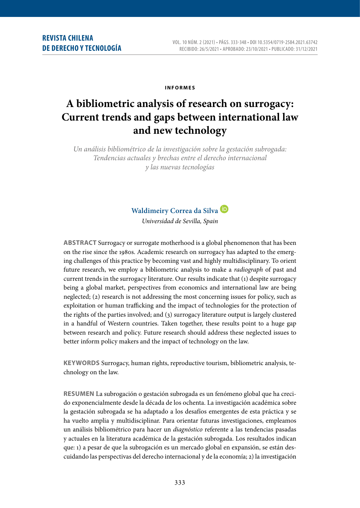#### **i n f o r m e s**

# **A bibliometric analysis of research on surrogacy: Current trends and gaps between international law and new technology**

*Un análisis bibliométrico de la investigación sobre la gestación subrogada: Tendencias actuales y brechas entre el derecho internacional y las nuevas tecnologías*



*Universidad de Sevilla, Spain*

**ABSTRACT** Surrogacy or surrogate motherhood is a global phenomenon that has been on the rise since the 1980s. Academic research on surrogacy has adapted to the emerging challenges of this practice by becoming vast and highly multidisciplinary. To orient future research, we employ a bibliometric analysis to make a *radiograph* of past and current trends in the surrogacy literature. Our results indicate that (1) despite surrogacy being a global market, perspectives from economics and international law are being neglected; (2) research is not addressing the most concerning issues for policy, such as exploitation or human trafficking and the impact of technologies for the protection of the rights of the parties involved; and (3) surrogacy literature output is largely clustered in a handful of Western countries. Taken together, these results point to a huge gap between research and policy. Future research should address these neglected issues to better inform policy makers and the impact of technology on the law.

**KEYWORDS** Surrogacy, human rights, reproductive tourism, bibliometric analysis, technology on the law.

**RESUMEN** La subrogación o gestación subrogada es un fenómeno global que ha crecido exponencialmente desde la década de los ochenta. La investigación académica sobre la gestación subrogada se ha adaptado a los desafíos emergentes de esta práctica y se ha vuelto amplia y multidisciplinar. Para orientar futuras investigaciones, empleamos un análisis bibliométrico para hacer un *diagnóstico* referente a las tendencias pasadas y actuales en la literatura académica de la gestación subrogada. Los resultados indican que: 1) a pesar de que la subrogación es un mercado global en expansión, se están descuidando las perspectivas del derecho internacional y de la economía; 2) la investigación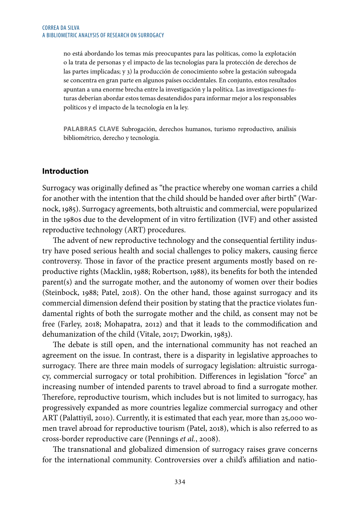no está abordando los temas más preocupantes para las políticas, como la explotación o la trata de personas y el impacto de las tecnologías para la protección de derechos de las partes implicadas; y 3) la producción de conocimiento sobre la gestación subrogada se concentra en gran parte en algunos países occidentales. En conjunto, estos resultados apuntan a una enorme brecha entre la investigación y la política. Las investigaciones futuras deberían abordar estos temas desatendidos para informar mejor a los responsables políticos y el impacto de la tecnología en la ley.

**PALABRAS CLAVE** Subrogación, derechos humanos, turismo reproductivo, análisis bibliométrico, derecho y tecnología.

#### **Introduction**

Surrogacy was originally defined as "the practice whereby one woman carries a child for another with the intention that the child should be handed over after birth" (Warnock, 1985). Surrogacy agreements, both altruistic and commercial, were popularized in the 1980s due to the development of in vitro fertilization (IVF) and other assisted reproductive technology (ART) procedures.

The advent of new reproductive technology and the consequential fertility industry have posed serious health and social challenges to policy makers, causing fierce controversy. Those in favor of the practice present arguments mostly based on reproductive rights (Macklin, 1988; Robertson, 1988), its benefits for both the intended parent(s) and the surrogate mother, and the autonomy of women over their bodies (Steinbock, 1988; Patel, 2018). On the other hand, those against surrogacy and its commercial dimension defend their position by stating that the practice violates fundamental rights of both the surrogate mother and the child, as consent may not be free (Farley, 2018; Mohapatra, 2012) and that it leads to the commodification and dehumanization of the child (Vitale, 2017; Dworkin, 1983).

The debate is still open, and the international community has not reached an agreement on the issue. In contrast, there is a disparity in legislative approaches to surrogacy. There are three main models of surrogacy legislation: altruistic surrogacy, commercial surrogacy or total prohibition. Differences in legislation "force" an increasing number of intended parents to travel abroad to find a surrogate mother. Therefore, reproductive tourism, which includes but is not limited to surrogacy, has progressively expanded as more countries legalize commercial surrogacy and other ART (Palattiyil, 2010). Currently, it is estimated that each year, more than 25,000 women travel abroad for reproductive tourism (Patel, 2018), which is also referred to as cross-border reproductive care (Pennings *et al.*, 2008).

The transnational and globalized dimension of surrogacy raises grave concerns for the international community. Controversies over a child's affiliation and natio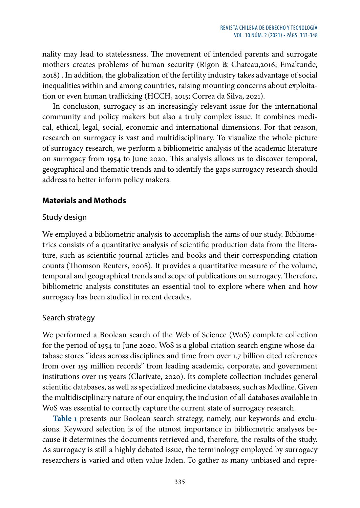nality may lead to statelessness. The movement of intended parents and surrogate mothers creates problems of human security (Rigon & Chateau,2016; Emakunde, 2018) . In addition, the globalization of the fertility industry takes advantage of social inequalities within and among countries, raising mounting concerns about exploitation or even human trafficking (HCCH, 2015; Correa da Silva, 2021).

In conclusion, surrogacy is an increasingly relevant issue for the international community and policy makers but also a truly complex issue. It combines medical, ethical, legal, social, economic and international dimensions. For that reason, research on surrogacy is vast and multidisciplinary. To visualize the whole picture of surrogacy research, we perform a bibliometric analysis of the academic literature on surrogacy from 1954 to June 2020. This analysis allows us to discover temporal, geographical and thematic trends and to identify the gaps surrogacy research should address to better inform policy makers.

## **Materials and Methods**

### Study design

We employed a bibliometric analysis to accomplish the aims of our study. Bibliometrics consists of a quantitative analysis of scientific production data from the literature, such as scientific journal articles and books and their corresponding citation counts (Thomson Reuters, 2008). It provides a quantitative measure of the volume, temporal and geographical trends and scope of publications on surrogacy. Therefore, bibliometric analysis constitutes an essential tool to explore where when and how surrogacy has been studied in recent decades.

### Search strategy

We performed a Boolean search of the Web of Science (WoS) complete collection for the period of 1954 to June 2020. WoS is a global citation search engine whose database stores "ideas across disciplines and time from over 1.7 billion cited references from over 159 million records" from leading academic, corporate, and government institutions over 115 years (Clarivate, 2020). Its complete collection includes general scientific databases, as well as specialized medicine databases, such as Medline. Given the multidisciplinary nature of our enquiry, the inclusion of all databases available in WoS was essential to correctly capture the current state of surrogacy research.

**Table 1** presents our Boolean search strategy, namely, our keywords and exclusions. Keyword selection is of the utmost importance in bibliometric analyses because it determines the documents retrieved and, therefore, the results of the study. As surrogacy is still a highly debated issue, the terminology employed by surrogacy researchers is varied and often value laden. To gather as many unbiased and repre-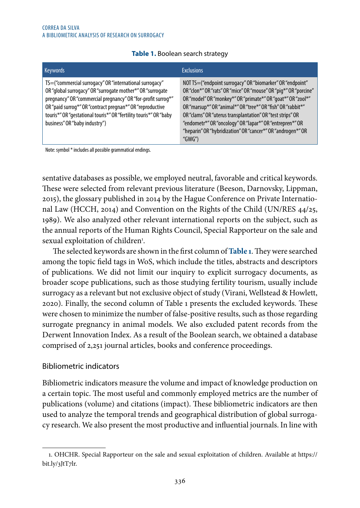| <b>Keywords</b>                                                                                                                                                                                                                                                                                                                                          | <b>Exclusions</b>                                                                                                                                                                                                                                                                                                                                                                                                                                                  |
|----------------------------------------------------------------------------------------------------------------------------------------------------------------------------------------------------------------------------------------------------------------------------------------------------------------------------------------------------------|--------------------------------------------------------------------------------------------------------------------------------------------------------------------------------------------------------------------------------------------------------------------------------------------------------------------------------------------------------------------------------------------------------------------------------------------------------------------|
| TS=("commercial surrogacy" OR "international surrogacy"<br>OR "global surrogacy" OR "surrogate mother*" OR "surrogate<br>pregnancy" OR "commercial pregnancy" OR "for-profit surrog*"<br>OR "paid surrog*" OR "contract pregnan*" OR "reproductive<br>touris*" OR "gestational touris*" OR "fertility touris*" OR "baby<br>business" OR "baby industry") | NOT TS=("endpoint surrogacy" OR "biomarker" OR "endpoint"<br>OR "clon*" OR "rats" OR "mice" OR "mouse" OR "pig*" OR "porcine"<br>OR "model" OR "monkey*" OR "primate*" OR "goat*" OR "zool*"<br>OR "marsup*" OR "animal*" OR "tree*" OR "fish" OR "rabbit*"<br>OR "clams" OR "uterus transplantation" OR "test strips" OR<br>"endometr*" OR "oncology" OR "lapar*" OR "entrepren*" OR<br>"heparin" OR "hybridization" OR "cancer*" OR "androgen*" OR<br>" $GWG$ ") |

#### **Table 1.** Boolean search strategy

Note: symbol \* includes all possible grammatical endings.

sentative databases as possible, we employed neutral, favorable and critical keywords. These were selected from relevant previous literature (Beeson, Darnovsky, Lippman, 2015), the glossary published in 2014 by the Hague Conference on Private International Law (HCCH, 2014) and Convention on the Rights of the Child (UN/RES 44/25, 1989). We also analyzed other relevant international reports on the subject, such as the annual reports of the Human Rights Council, Special Rapporteur on the sale and sexual exploitation of children<sup>1</sup>.

The selected keywords are shown in the first column of **Table 1**. They were searched among the topic field tags in WoS, which include the titles, abstracts and descriptors of publications. We did not limit our inquiry to explicit surrogacy documents, as broader scope publications, such as those studying fertility tourism, usually include surrogacy as a relevant but not exclusive object of study (Virani, Wellstead & Howlett, 2020). Finally, the second column of Table 1 presents the excluded keywords. These were chosen to minimize the number of false-positive results, such as those regarding surrogate pregnancy in animal models. We also excluded patent records from the Derwent Innovation Index. As a result of the Boolean search, we obtained a database comprised of 2,251 journal articles, books and conference proceedings.

### Bibliometric indicators

Bibliometric indicators measure the volume and impact of knowledge production on a certain topic. The most useful and commonly employed metrics are the number of publications (volume) and citations (impact). These bibliometric indicators are then used to analyze the temporal trends and geographical distribution of global surrogacy research. We also present the most productive and influential journals. In line with

<sup>1.</sup> OHCHR. Special Rapporteur on the sale and sexual exploitation of children. Available at https:// bit.ly/3JtT7lr.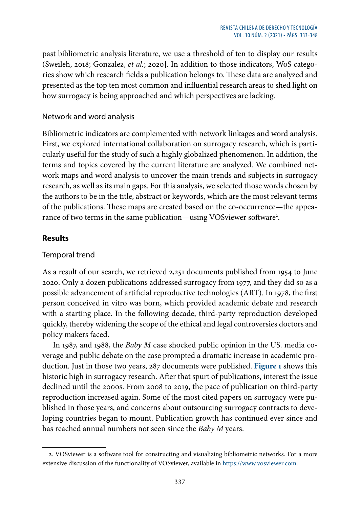past bibliometric analysis literature, we use a threshold of ten to display our results (Sweileh, 2018; Gonzalez, *et al.*; 2020]. In addition to those indicators, WoS categories show which research fields a publication belongs to. These data are analyzed and presented as the top ten most common and influential research areas to shed light on how surrogacy is being approached and which perspectives are lacking.

## Network and word analysis

Bibliometric indicators are complemented with network linkages and word analysis. First, we explored international collaboration on surrogacy research, which is particularly useful for the study of such a highly globalized phenomenon. In addition, the terms and topics covered by the current literature are analyzed. We combined network maps and word analysis to uncover the main trends and subjects in surrogacy research, as well as its main gaps. For this analysis, we selected those words chosen by the authors to be in the title, abstract or keywords, which are the most relevant terms of the publications. These maps are created based on the co-occurrence—the appearance of two terms in the same publication—using VOSviewer software<del>'</del>.

## **Results**

## Temporal trend

As a result of our search, we retrieved 2,251 documents published from 1954 to June 2020. Only a dozen publications addressed surrogacy from 1977, and they did so as a possible advancement of artificial reproductive technologies (ART). In 1978, the first person conceived in vitro was born, which provided academic debate and research with a starting place. In the following decade, third-party reproduction developed quickly, thereby widening the scope of the ethical and legal controversies doctors and policy makers faced.

In 1987, and 1988, the *Baby M* case shocked public opinion in the US. media coverage and public debate on the case prompted a dramatic increase in academic production. Just in those two years, 287 documents were published. **Figure 1** shows this historic high in surrogacy research. After that spurt of publications, interest the issue declined until the 2000s. From 2008 to 2019, the pace of publication on third-party reproduction increased again. Some of the most cited papers on surrogacy were published in those years, and concerns about outsourcing surrogacy contracts to developing countries began to mount. Publication growth has continued ever since and has reached annual numbers not seen since the *Baby M* years.

<sup>2.</sup> VOSviewer is a software tool for constructing and visualizing bibliometric networks. For a more extensive discussion of the functionality of VOSviewer, available in [https://www.vosviewer.com](https://www.vosviewer.com/).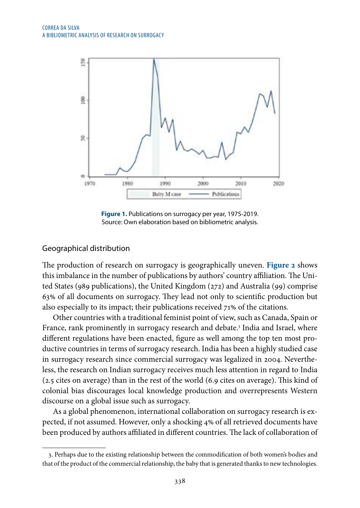

**Figure 1.** Publications on surrogacy per year, 1975-2019. Source: Own elaboration based on bibliometric analysis.

#### Geographical distribution

The production of research on surrogacy is geographically uneven. **Figure 2** shows this imbalance in the number of publications by authors' country affiliation. The United States (989 publications), the United Kingdom (272) and Australia (99) comprise 63% of all documents on surrogacy. They lead not only to scientific production but also especially to its impact; their publications received 71% of the citations.

Other countries with a traditional feminist point of view, such as Canada, Spain or France, rank prominently in surrogacy research and debate.3 India and Israel, where different regulations have been enacted, figure as well among the top ten most productive countries in terms of surrogacy research. India has been a highly studied case in surrogacy research since commercial surrogacy was legalized in 2004. Nevertheless, the research on Indian surrogacy receives much less attention in regard to India (2.5 cites on average) than in the rest of the world (6.9 cites on average). This kind of colonial bias discourages local knowledge production and overrepresents Western discourse on a global issue such as surrogacy.

As a global phenomenon, international collaboration on surrogacy research is expected, if not assumed. However, only a shocking 4% of all retrieved documents have been produced by authors affiliated in different countries. The lack of collaboration of

<sup>3.</sup> Perhaps due to the existing relationship between the commodification of both women's bodies and that of the product of the commercial relationship, the baby that is generated thanks to new technologies.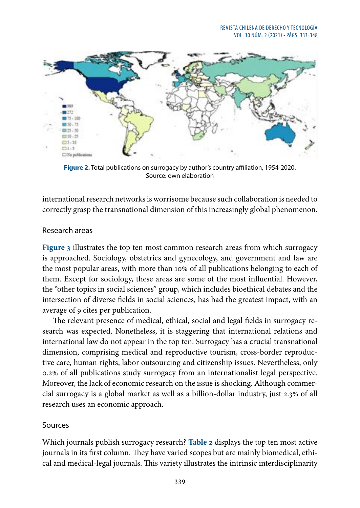

**Figure 2.** Total publications on surrogacy by author's country affiliation, 1954-2020. Source: own elaboration

international research networks is worrisome because such collaboration is needed to correctly grasp the transnational dimension of this increasingly global phenomenon.

#### Research areas

**Figure 3** illustrates the top ten most common research areas from which surrogacy is approached. Sociology, obstetrics and gynecology, and government and law are the most popular areas, with more than 10% of all publications belonging to each of them. Except for sociology, these areas are some of the most influential. However, the "other topics in social sciences" group, which includes bioethical debates and the intersection of diverse fields in social sciences, has had the greatest impact, with an average of 9 cites per publication.

The relevant presence of medical, ethical, social and legal fields in surrogacy research was expected. Nonetheless, it is staggering that international relations and international law do not appear in the top ten. Surrogacy has a crucial transnational dimension, comprising medical and reproductive tourism, cross-border reproductive care, human rights, labor outsourcing and citizenship issues. Nevertheless, only 0.2% of all publications study surrogacy from an internationalist legal perspective. Moreover, the lack of economic research on the issue is shocking. Although commercial surrogacy is a global market as well as a billion-dollar industry, just 2.3% of all research uses an economic approach.

### Sources

Which journals publish surrogacy research? **Table 2** displays the top ten most active journals in its first column. They have varied scopes but are mainly biomedical, ethical and medical-legal journals. This variety illustrates the intrinsic interdisciplinarity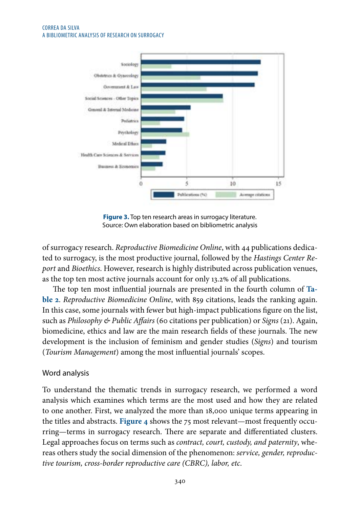#### CORREA DA SILVA A BIBLIOMETRIC ANALYSIS OF RESEARCH ON SURROGACY



**Figure 3.** Top ten research areas in surrogacy literature. Source: Own elaboration based on bibliometric analysis

of surrogacy research. *Reproductive Biomedicine Online*, with 44 publications dedicated to surrogacy, is the most productive journal, followed by the *Hastings Center Report* and *Bioethics*. However, research is highly distributed across publication venues, as the top ten most active journals account for only 13.2% of all publications.

The top ten most influential journals are presented in the fourth column of **Table 2**. *Reproductive Biomedicine Online*, with 859 citations, leads the ranking again. In this case, some journals with fewer but high-impact publications figure on the list, such as *Philosophy & Public Affairs* (60 citations per publication) or *Signs* (21). Again, biomedicine, ethics and law are the main research fields of these journals. The new development is the inclusion of feminism and gender studies (*Signs*) and tourism (*Tourism Management*) among the most influential journals' scopes.

## Word analysis

To understand the thematic trends in surrogacy research, we performed a word analysis which examines which terms are the most used and how they are related to one another. First, we analyzed the more than 18,000 unique terms appearing in the titles and abstracts. **Figure 4** shows the 75 most relevant—most frequently occurring—terms in surrogacy research. There are separate and differentiated clusters. Legal approaches focus on terms such as *contract, court, custody, and paternity*, whereas others study the social dimension of the phenomenon: *service, gender, reproductive tourism, cross-border reproductive care (CBRC), labor, etc*.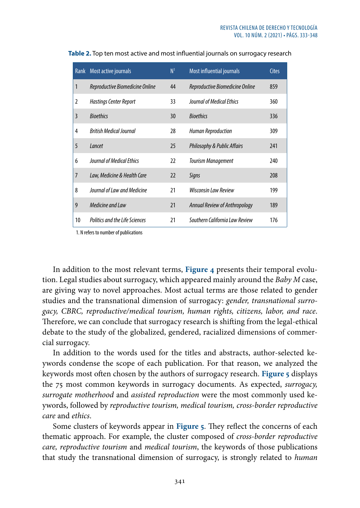| Rank           | Most active journals                  | N <sup>1</sup> | Most influential journals              | <b>Cites</b> |
|----------------|---------------------------------------|----------------|----------------------------------------|--------------|
| $\mathbf{1}$   | Reproductive Biomedicine Online       | 44             | Reproductive Biomedicine Online        | 859          |
| 2              | <b>Hastings Center Report</b>         | 33             | Journal of Medical Ethics              | 360          |
| 3              | <b>Bioethics</b>                      | 30             | <b>Bioethics</b>                       | 336          |
| 4              | <b>British Medical Journal</b>        | 28             | <b>Human Reproduction</b>              | 309          |
| 5              | Lancet                                | 25             | <b>Philosophy &amp; Public Affairs</b> | 241          |
| 6              | <b>Journal of Medical Fthics</b>      | 22             | <b>Tourism Management</b>              | 240          |
| $\overline{7}$ | Law, Medicine & Health Care           | 22             | Signs                                  | 208          |
| 8              | Journal of Law and Medicine           | 21             | <b>Wisconsin Law Review</b>            | 199          |
| 9              | Medicine and Law                      | 21             | Annual Review of Anthropology          | 189          |
| 10             | <b>Politics and the Life Sciences</b> | 21             | Southern California Law Review         | 176          |

**Table 2.** Top ten most active and most influential journals on surrogacy research

1. N refers to number of publications

In addition to the most relevant terms, **Figure 4** presents their temporal evolution. Legal studies about surrogacy, which appeared mainly around the *Baby M* case, are giving way to novel approaches. Most actual terms are those related to gender studies and the transnational dimension of surrogacy: *gender, transnational surrogacy, CBRC, reproductive/medical tourism, human rights, citizens, labor, and race*. Therefore, we can conclude that surrogacy research is shifting from the legal-ethical debate to the study of the globalized, gendered, racialized dimensions of commercial surrogacy.

In addition to the words used for the titles and abstracts, author-selected keywords condense the scope of each publication. For that reason, we analyzed the keywords most often chosen by the authors of surrogacy research. **Figure 5** displays the 75 most common keywords in surrogacy documents. As expected, *surrogacy, surrogate motherhood* and *assisted reproduction* were the most commonly used keywords, followed by *reproductive tourism, medical tourism, cross-border reproductive care* and *ethics*.

Some clusters of keywords appear in **Figure 5**. They reflect the concerns of each thematic approach. For example, the cluster composed of *cross-border reproductive care, reproductive tourism* and *medical tourism*, the keywords of those publications that study the transnational dimension of surrogacy, is strongly related to *human*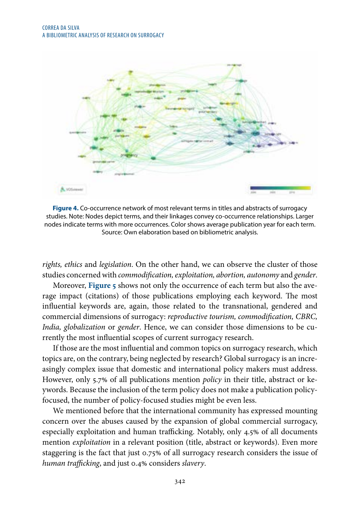

**Figure 4.** Co-occurrence network of most relevant terms in titles and abstracts of surrogacy studies. Note: Nodes depict terms, and their linkages convey co-occurrence relationships. Larger nodes indicate terms with more occurrences. Color shows average publication year for each term. Source: Own elaboration based on bibliometric analysis.

*rights, ethics* and *legislation*. On the other hand, we can observe the cluster of those studies concerned with *commodification, exploitation, abortion, autonomy* and *gender*.

Moreover, **Figure 5** shows not only the occurrence of each term but also the average impact (citations) of those publications employing each keyword. The most influential keywords are, again, those related to the transnational, gendered and commercial dimensions of surrogacy: *reproductive tourism, commodification, CBRC, India, globalization* or *gender*. Hence, we can consider those dimensions to be currently the most influential scopes of current surrogacy research.

If those are the most influential and common topics on surrogacy research, which topics are, on the contrary, being neglected by research? Global surrogacy is an increasingly complex issue that domestic and international policy makers must address. However, only 5.7% of all publications mention *policy* in their title, abstract or keywords. Because the inclusion of the term policy does not make a publication policyfocused, the number of policy-focused studies might be even less.

We mentioned before that the international community has expressed mounting concern over the abuses caused by the expansion of global commercial surrogacy, especially exploitation and human trafficking. Notably, only 4.5% of all documents mention *exploitation* in a relevant position (title, abstract or keywords). Even more staggering is the fact that just 0.75% of all surrogacy research considers the issue of *human trafficking*, and just 0.4% considers *slavery*.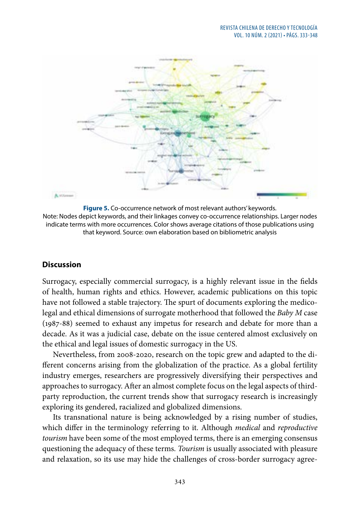

**Figure 5.** Co-occurrence network of most relevant authors' keywords. Note: Nodes depict keywords, and their linkages convey co-occurrence relationships. Larger nodes indicate terms with more occurrences. Color shows average citations of those publications using that keyword. Source: own elaboration based on bibliometric analysis

### **Discussion**

Surrogacy, especially commercial surrogacy, is a highly relevant issue in the fields of health, human rights and ethics. However, academic publications on this topic have not followed a stable trajectory. The spurt of documents exploring the medicolegal and ethical dimensions of surrogate motherhood that followed the *Baby M* case (1987-88) seemed to exhaust any impetus for research and debate for more than a decade. As it was a judicial case, debate on the issue centered almost exclusively on the ethical and legal issues of domestic surrogacy in the US.

Nevertheless, from 2008-2020, research on the topic grew and adapted to the different concerns arising from the globalization of the practice. As a global fertility industry emerges, researchers are progressively diversifying their perspectives and approaches to surrogacy. After an almost complete focus on the legal aspects of thirdparty reproduction, the current trends show that surrogacy research is increasingly exploring its gendered, racialized and globalized dimensions.

Its transnational nature is being acknowledged by a rising number of studies, which differ in the terminology referring to it. Although *medical* and *reproductive tourism* have been some of the most employed terms, there is an emerging consensus questioning the adequacy of these terms. *Tourism* is usually associated with pleasure and relaxation, so its use may hide the challenges of cross-border surrogacy agree-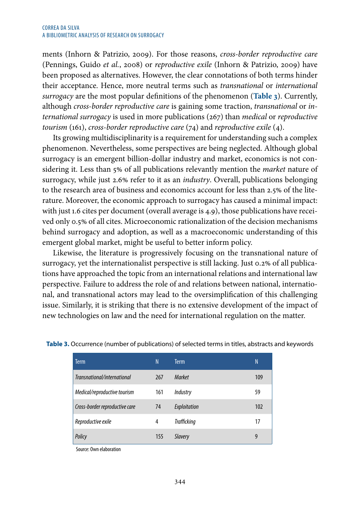ments (Inhorn & Patrizio, 2009). For those reasons, *cross-border reproductive care* (Pennings, Guido *et al.*, 2008) or *reproductive exile* (Inhorn & Patrizio, 2009) have been proposed as alternatives. However, the clear connotations of both terms hinder their acceptance. Hence, more neutral terms such as *transnational* or *international surrogacy* are the most popular definitions of the phenomenon (**Table 3**). Currently, although *cross-border reproductive care* is gaining some traction, *transnational* or *international surrogacy* is used in more publications (267) than *medical* or *reproductive tourism* (161), *cross-border reproductive care* (74) and *reproductive exile* (4).

Its growing multidisciplinarity is a requirement for understanding such a complex phenomenon. Nevertheless, some perspectives are being neglected. Although global surrogacy is an emergent billion-dollar industry and market, economics is not considering it. Less than 5% of all publications relevantly mention the *market* nature of surrogacy, while just 2.6% refer to it as an *industry*. Overall, publications belonging to the research area of business and economics account for less than 2.5% of the literature. Moreover, the economic approach to surrogacy has caused a minimal impact: with just 1.6 cites per document (overall average is 4.9), those publications have received only 0.5% of all cites. Microeconomic rationalization of the decision mechanisms behind surrogacy and adoption, as well as a macroeconomic understanding of this emergent global market, might be useful to better inform policy.

Likewise, the literature is progressively focusing on the transnational nature of surrogacy, yet the internationalist perspective is still lacking. Just 0.2% of all publications have approached the topic from an international relations and international law perspective. Failure to address the role of and relations between national, international, and transnational actors may lead to the oversimplification of this challenging issue. Similarly, it is striking that there is no extensive development of the impact of new technologies on law and the need for international regulation on the matter.

| Term                           | N   | <b>Term</b>        | N   |
|--------------------------------|-----|--------------------|-----|
| Transnational/international    | 267 | <b>Market</b>      | 109 |
| Medical/reproductive tourism   | 161 | Industry           | 59  |
| Cross-border reproductive care | 74  | Exploitation       | 102 |
| Reproductive exile             | 4   | <b>Trafficking</b> | 17  |
| Policy                         | 155 | <b>Slavery</b>     | 9   |

**Table 3.** Occurrence (number of publications) of selected terms in titles, abstracts and keywords

Source: Own elaboration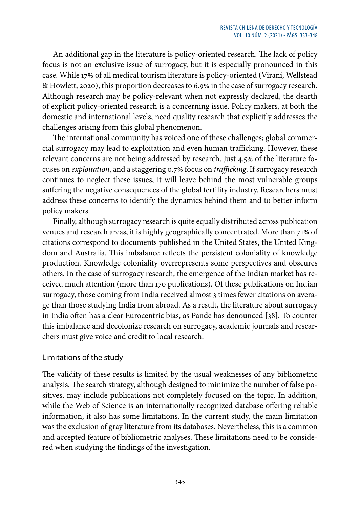An additional gap in the literature is policy-oriented research. The lack of policy focus is not an exclusive issue of surrogacy, but it is especially pronounced in this case. While 17% of all medical tourism literature is policy-oriented (Virani, Wellstead & Howlett, 2020), this proportion decreases to 6.9% in the case of surrogacy research. Although research may be policy-relevant when not expressly declared, the dearth of explicit policy-oriented research is a concerning issue. Policy makers, at both the domestic and international levels, need quality research that explicitly addresses the challenges arising from this global phenomenon.

The international community has voiced one of these challenges; global commercial surrogacy may lead to exploitation and even human trafficking. However, these relevant concerns are not being addressed by research. Just 4.5% of the literature focuses on *exploitation*, and a staggering 0.7% focus on *trafficking*. If surrogacy research continues to neglect these issues, it will leave behind the most vulnerable groups suffering the negative consequences of the global fertility industry. Researchers must address these concerns to identify the dynamics behind them and to better inform policy makers.

Finally, although surrogacy research is quite equally distributed across publication venues and research areas, it is highly geographically concentrated. More than 71% of citations correspond to documents published in the United States, the United Kingdom and Australia. This imbalance reflects the persistent coloniality of knowledge production. Knowledge coloniality overrepresents some perspectives and obscures others. In the case of surrogacy research, the emergence of the Indian market has received much attention (more than 170 publications). Of these publications on Indian surrogacy, those coming from India received almost 3 times fewer citations on average than those studying India from abroad. As a result, the literature about surrogacy in India often has a clear Eurocentric bias, as Pande has denounced [38]. To counter this imbalance and decolonize research on surrogacy, academic journals and researchers must give voice and credit to local research.

### Limitations of the study

The validity of these results is limited by the usual weaknesses of any bibliometric analysis. The search strategy, although designed to minimize the number of false positives, may include publications not completely focused on the topic. In addition, while the Web of Science is an internationally recognized database offering reliable information, it also has some limitations. In the current study, the main limitation was the exclusion of gray literature from its databases. Nevertheless, this is a common and accepted feature of bibliometric analyses. These limitations need to be considered when studying the findings of the investigation.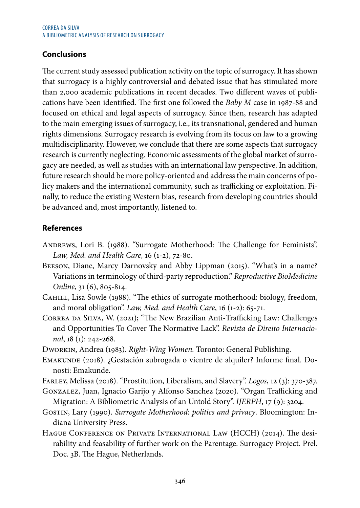# **Conclusions**

The current study assessed publication activity on the topic of surrogacy. It has shown that surrogacy is a highly controversial and debated issue that has stimulated more than 2,000 academic publications in recent decades. Two different waves of publications have been identified. The first one followed the *Baby M* case in 1987-88 and focused on ethical and legal aspects of surrogacy. Since then, research has adapted to the main emerging issues of surrogacy, i.e., its transnational, gendered and human rights dimensions. Surrogacy research is evolving from its focus on law to a growing multidisciplinarity. However, we conclude that there are some aspects that surrogacy research is currently neglecting. Economic assessments of the global market of surrogacy are needed, as well as studies with an international law perspective. In addition, future research should be more policy-oriented and address the main concerns of policy makers and the international community, such as trafficking or exploitation. Finally, to reduce the existing Western bias, research from developing countries should be advanced and, most importantly, listened to.

# **References**

- Andrews, Lori B. (1988). "Surrogate Motherhood: The Challenge for Feminists". *Law, Med. and Health Care,* 16 (1-2), 72-80.
- Beeson, Diane, Marcy Darnovsky and Abby Lippman (2015). "What's in a name? Variations in terminology of third-party reproduction." *Reproductive BioMedicine Online*, 31 (6), 805-814.
- CAHILL, Lisa Sowle (1988). "The ethics of surrogate motherhood: biology, freedom, and moral obligation". *Law, Med. and Health Care*, 16 (1-2): 65-71.
- Correa da Silva, W. (2021); "The New Brazilian Anti-Trafficking Law: Challenges and Opportunities To Cover The Normative Lack". *Revista de Direito Internacional*, 18 (1): 242-268.
- Dworkin, Andrea (1983). *Right-Wing Women.* Toronto: General Publishing.
- Emakunde (2018). ¿Gestación subrogada o vientre de alquiler? Informe final. Donosti: Emakunde.
- Farley, Melissa (2018). "Prostitution, Liberalism, and Slavery". *Logos*, 12 (3): 370-387.
- Gonzalez, Juan, Ignacio Garijo y Alfonso Sanchez (2020). "Organ Trafficking and Migration: A Bibliometric Analysis of an Untold Story". *IJERPH*, 17 (9): 3204.
- Gostin, Lary (1990). *Surrogate Motherhood: politics and privacy*. Bloomington: Indiana University Press.
- Hague Conference on Private International Law (HCCH) (2014). The desirability and feasability of further work on the Parentage. Surrogacy Project*.* Prel. Doc. 3B. The Hague, Netherlands.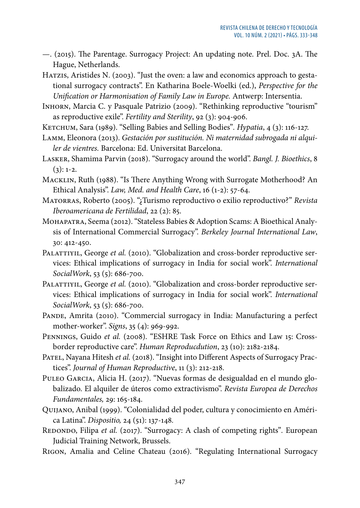—. (2015). The Parentage. Surrogacy Project: An updating note. Prel. Doc. 3A. The Hague, Netherlands.

HATZIS, Aristides N. (2003). "Just the oven: a law and economics approach to gestational surrogacy contracts". En Katharina Boele-Woelki (ed.), *Perspective for the Unification or Harmonisation of Family Law in Europe.* Antwerp: Intersentia.

Inhorn, Marcia C. y Pasquale Patrizio (2009). "Rethinking reproductive "tourism" as reproductive exile". *Fertility and Sterility*, 92 (3): 904-906.

- Ketchum, Sara (1989). "Selling Babies and Selling Bodies"*. Hypatia*, 4 (3): 116-127.
- Lamm, Eleonora (2013). *Gestación por sustitución. Ni maternidad subrogada ni alquiler de vientres.* Barcelona: Ed. Universitat Barcelona.
- Lasker, Shamima Parvin (2018). "Surrogacy around the world". *Bangl. J. Bioethics*, 8  $(3): 1-2.$
- Macklin, Ruth (1988). "Is There Anything Wrong with Surrogate Motherhood? An Ethical Analysis". *Law, Med. and Health Care*, 16 (1-2): 57-64.
- Matorras, Roberto (2005). "¿Turismo reproductivo o exilio reproductivo?" *Revista Iberoamericana de Fertilidad*, 22 (2): 85.
- Mohapatra, Seema (2012). "Stateless Babies & Adoption Scams: A Bioethical Analysis of International Commercial Surrogacy". *Berkeley Journal International Law*, 30: 412-450.
- PALATTIYIL, George *et al.* (2010). "Globalization and cross-border reproductive services: Ethical implications of surrogacy in India for social work". *International SocialWork*, 53 (5): 686-700.
- PALATTIYIL, George *et al.* (2010). "Globalization and cross-border reproductive services: Ethical implications of surrogacy in India for social work". *International SocialWork*, 53 (5): 686-700.
- PANDE, Amrita (2010). "Commercial surrogacy in India: Manufacturing a perfect mother-worker". *Signs*, 35 (4): 969-992.
- PENNINGS, Guido et al. (2008). "ESHRE Task Force on Ethics and Law 15: Crossborder reproductive care". *Human Reproducdution*, 23 (10): 2182-2184.
- PATEL, Nayana Hitesh *et al.* (2018). "Insight into Different Aspects of Surrogacy Practices". *Journal of Human Reproductive*, 11 (3): 212-218.
- Puleo Garcia, Alicia H. (2017). "Nuevas formas de desigualdad en el mundo globalizado. El alquiler de úteros como extractivismo". *Revista Europea de Derechos Fundamentales,* 29: 165-184.
- Quijano, Anibal (1999). "Colonialidad del poder, cultura y conocimiento en América Latina". *Dispositio,* 24 (51): 137-148*.*
- REDONDO, Filipa et al. (2017). "Surrogacy: A clash of competing rights". European Judicial Training Network, Brussels.
- Rigon, Amalia and Celine Chateau (2016). "Regulating International Surrogacy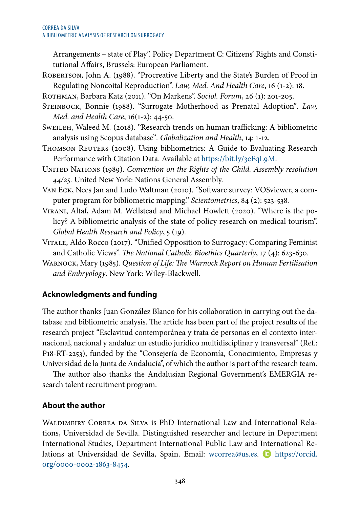Arrangements – state of Play". Policy Department C: Citizens' Rights and Constitutional Affairs, Brussels: European Parliament.

Robertson, John A. (1988). "Procreative Liberty and the State's Burden of Proof in Regulating Noncoital Reproduction". *Law, Med. And Health Care*, 16 (1-2): 18.

Rothman, Barbara Katz (2011). "On Markens". *Sociol. Forum*, 26 (1): 201-205.

- Steinbock, Bonnie (1988). "Surrogate Motherhood as Prenatal Adoption"*. Law, Med. and Health Care*, 16(1-2): 44-50.
- Sweileh, Waleed M*.* (2018). "Research trends on human trafficking: A bibliometric analysis using Scopus database"*. Globalization and Health*, 14: 1-12*.*
- THOMSON REUTERS (2008). Using bibliometrics: A Guide to Evaluating Research Performance with Citation Data. Available at <https://bit.ly/3eFqL9M>.
- UNITED NATIONS (1989). *Convention on the Rights of the Child. Assembly resolution 44/25.* United New York: Nations General Assembly.
- Van Eck, Nees Jan and Ludo Waltman (2010). *"*Software survey: VOSviewer, a computer program for bibliometric mapping." *Scientometrics*, 84 (2): 523-538*.*
- Virani, Altaf, Adam M. Wellstead and Michael Howlett (2020). "Where is the policy? A bibliometric analysis of the state of policy research on medical tourism". *Global Health Research and Policy*, 5 (19).
- VITALE, Aldo Rocco (2017). "Unified Opposition to Surrogacy: Comparing Feminist and Catholic Views". *The National Catholic Bioethics Quarterly*, 17 (4): 623-630.
- Warnock, Mary (1985). *Question of Life: The Warnock Report on Human Fertilisation and Embryology*. New York: Wiley-Blackwell.

# **Acknowledgments and funding**

The author thanks Juan González Blanco for his collaboration in carrying out the database and bibliometric analysis. The article has been part of the project results of the research project "Esclavitud contemporánea y trata de personas en el contexto internacional, nacional y andaluz: un estudio jurídico multidisciplinar y transversal" (Ref.: P18-RT-2253), funded by the "Consejería de Economía, Conocimiento, Empresas y Universidad de la Junta de Andalucía", of which the author is part of the research team.

The author also thanks the Andalusian Regional Government's EMERGIA research talent recruitment program.

## **About the author**

Waldimeiry Correa da Silva is PhD International Law and International Relations, Universidad de Sevilla. Distinguished researcher and lecture in Department International Studies, Department International Public Law and International Relations at Universidad de Sevilla, Spain. Email: [wcorrea@us.es](mailto:wcorrea@us.es). D [https://orcid.](https://orcid.org/0000-0002-1863-8454) [org/0000-0002-1863-8454.](https://orcid.org/0000-0002-1863-8454)